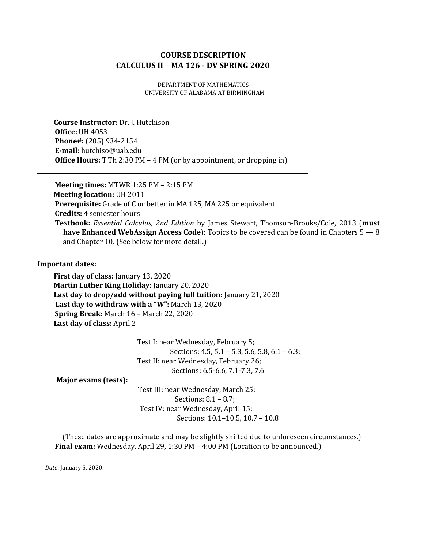# **COURSE DESCRIPTION CALCULUS II – MA 126 - DV SPRING 2020**

DEPARTMENT OF MATHEMATICS UNIVERSITY OF ALABAMA AT BIRMINGHAM

**Course Instructor:** Dr. J. Hutchison **Office:** UH 4053 **Phone#:** (205) 934-2154 **E-mail:** hutchiso@uab.edu **Office Hours:** T Th 2:30 PM – 4 PM (or by appointment, or dropping in)

**Meeting times:** MTWR 1:25 PM – 2:15 PM **Meeting location:** UH 2011 **Prerequisite:** Grade of C or better in MA 125, MA 225 or equivalent **Credits:** 4 semester hours **Textbook:** *Essential Calculus, 2nd Edition* by James Stewart, Thomson-Brooks/Cole, 2013 (**must have Enhanced WebAssign Access Code**); Topics to be covered can be found in Chapters 5 — 8 and Chapter 10. (See below for more detail.)

#### **Important dates:**

**First day of class:** January 13, 2020 **Martin Luther King Holiday:** January 20, 2020 **Last day to drop/add without paying full tuition:** January 21, 2020 **Last day to withdraw with a "W":** March 13, 2020 **Spring Break:** March 16 – March 22, 2020 **Last day of class:** April 2

> Test I: near Wednesday, February 5; Sections: 4.5, 5.1 – 5.3, 5.6, 5.8, 6.1 – 6.3; Test II: near Wednesday, February 26; Sections: 6.5-6.6, 7.1-7.3, 7.6

**Major exams (tests):**

 Test III: near Wednesday, March 25; Sections: 8.1 – 8.7; Test IV: near Wednesday, April 15; Sections: 10.1–10.5, 10.7 – 10.8

(These dates are approximate and may be slightly shifted due to unforeseen circumstances.) **Final exam:** Wednesday, April 29, 1:30 PM – 4:00 PM (Location to be announced.)

*Date*: January 5, 2020.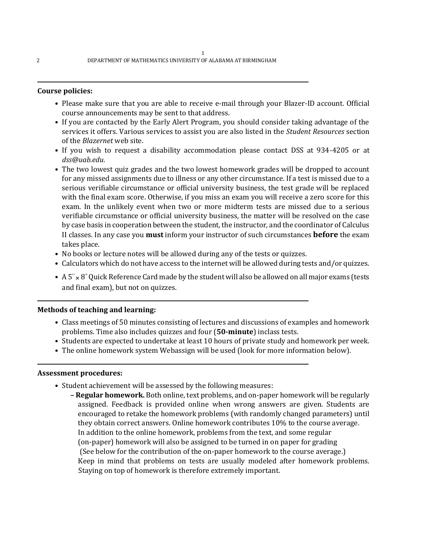## **Course policies:**

- Please make sure that you are able to receive e-mail through your Blazer-ID account. Official course announcements may be sent to that address.
- If you are contacted by the Early Alert Program, you should consider taking advantage of the services it offers. Various services to assist you are also listed in the *Student Resources* section of the *Blazernet* web site.
- If you wish to request a disability accommodation please contact DSS at 934-4205 or at *dss@uab.edu*.
- The two lowest quiz grades and the two lowest homework grades will be dropped to account for any missed assignments due to illness or any other circumstance. If a test is missed due to a serious verifiable circumstance or official university business, the test grade will be replaced with the final exam score. Otherwise, if you miss an exam you will receive a zero score for this exam. In the unlikely event when two or more midterm tests are missed due to a serious verifiable circumstance or official university business, the matter will be resolved on the case by case basis in cooperation between the student, the instructor, and the coordinator of Calculus II classes. In any case you **must** inform your instructor of such circumstances **before** the exam takes place.
- No books or lecture notes will be allowed during any of the tests or quizzes.
- Calculators which do not have access to the internet will be allowed during tests and/or quizzes.
- A  $5'' \times 8''$  Quick Reference Card made by the student will also be allowed on all major exams (tests and final exam), but not on quizzes.

### **Methods of teaching and learning:**

- Class meetings of 50 minutes consisting of lectures and discussions of examples and homework problems. Time also includes quizzes and four (**50-minute**) inclass tests.
- Students are expected to undertake at least 10 hours of private study and homework per week.
- The online homework system Webassign will be used (look for more information below).

### **Assessment procedures:**

- Student achievement will be assessed by the following measures:
	- **– Regular homework.** Both online, text problems, and on-paper homework will be regularly assigned. Feedback is provided online when wrong answers are given. Students are encouraged to retake the homework problems (with randomly changed parameters) until they obtain correct answers. Online homework contributes 10% to the course average. In addition to the online homework, problems from the text, and some regular (on-paper) homework will also be assigned to be turned in on paper for grading (See below for the contribution of the on-paper homework to the course average.) Keep in mind that problems on tests are usually modeled after homework problems. Staying on top of homework is therefore extremely important.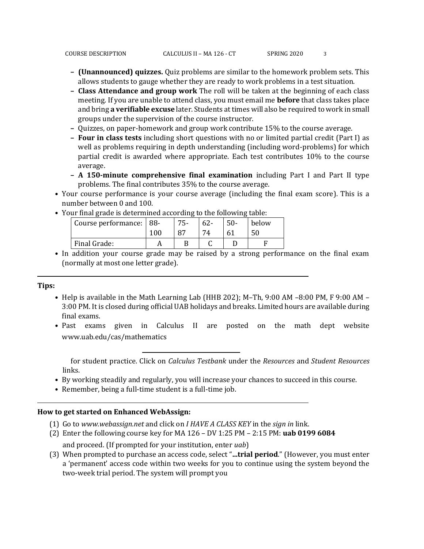- **– (Unannounced) quizzes.** Quiz problems are similar to the homework problem sets. This allows students to gauge whether they are ready to work problems in a test situation.
- **– Class Attendance and group work** The roll will be taken at the beginning of each class meeting. If you are unable to attend class, you must email me **before** that class takes place and bring **a verifiable excuse** later. Students at times will also be required to work in small groups under the supervision of the course instructor.
- **–** Quizzes, on paper-homework and group work contribute 15% to the course average.
- **– Four in class tests** including short questions with no or limited partial credit (Part I) as well as problems requiring in depth understanding (including word-problems) for which partial credit is awarded where appropriate. Each test contributes 10% to the course average.
- **– A 150-minute comprehensive final examination** including Part I and Part II type problems. The final contributes 35% to the course average.
- Your course performance is your course average (including the final exam score). This is a number between 0 and 100.
	- Course performance: | 88-100 75- 87 62- 74 50- 61 below 50 Final Grade: A B C D F
- Your final grade is determined according to the following table:
- In addition your course grade may be raised by a strong performance on the final exam (normally at most one letter grade).

### **Tips:**

- Help is available in the Math Learning Lab (HHB 202); M–Th, 9:00 AM –8:00 PM, F 9:00 AM 3:00 PM. It is closed during official UAB holidays and breaks. Limited hours are available during final exams.
- Past exams given in Calculus II are posted on the math dept website www.uab.edu/cas/mathematics

for student practice. Click on *Calculus Testbank* under the *Resources* and *Student Resources*  links.

- By working steadily and regularly, you will increase your chances to succeed in this course.
- Remember, being a full-time student is a full-time job.

## **How to get started on Enhanced WebAssign:**

- (1) Go to *www.webassign.net* and click on *I HAVE A CLASS KEY* in the *sign in* link.
- (2) Enter the following course key for MA 126 DV 1:25 PM 2:15 PM: **uab 0199 6084** and proceed. (If prompted for your institution, enter *uab*)

(3) When prompted to purchase an access code, select "**...trial period**." (However, you must enter a 'permanent' access code within two weeks for you to continue using the system beyond the two-week trial period. The system will prompt you